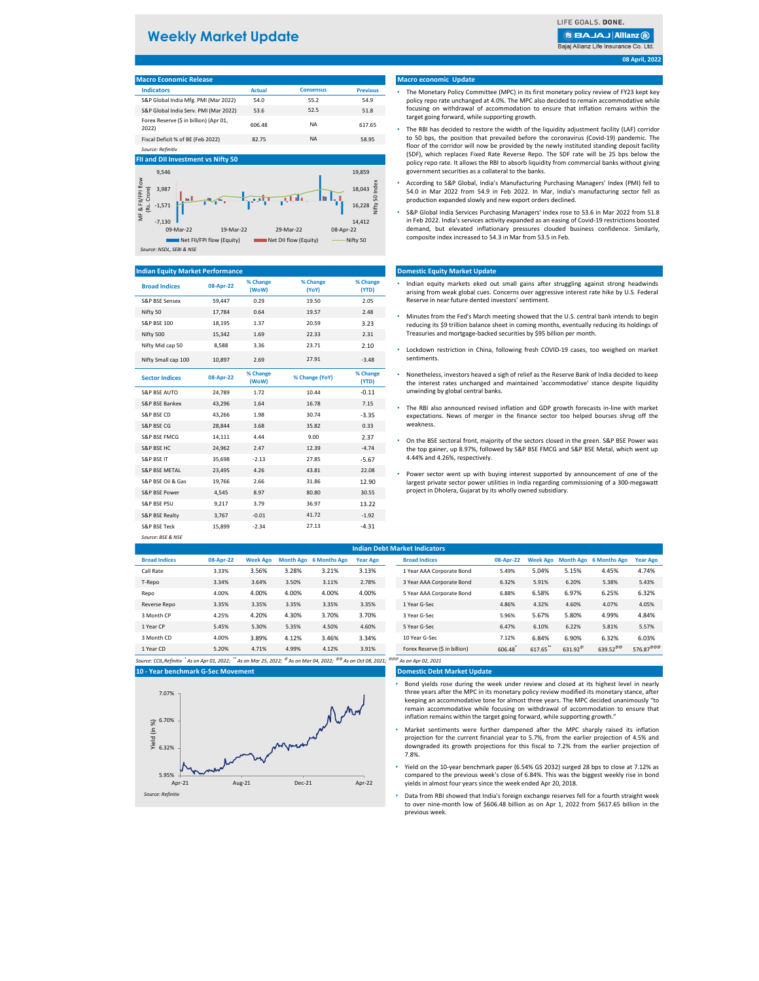#### **FII and DII Investment vs Nifty 50** 19,859 9,546 MF & FII/FPI flow<br>(Rs. Crore) MF & FII/FPI flow Nifty 50 Index lifty 50 Index 3,987 18,043 16,228 -1,571 -7,130 14,412 09-Mar-22 19-Mar-22 29-Mar-22 08-Apr-22 Net FII/FPI flow (Equity) Net DII flow (Equity) Net DII flow (Equity) Nifty 50

| <b>Macro Economic Release</b>                   |        |                  |                 |
|-------------------------------------------------|--------|------------------|-----------------|
| <b>Indicators</b>                               | Actual | <b>Consensus</b> | <b>Previous</b> |
| S&P Global India Mfg. PMI (Mar 2022)            | 54.0   | 55.2             | 54.9            |
| S&P Global India Serv. PMI (Mar 2022)           | 53.6   | 52.5             | 51.8            |
| Forex Reserve (\$ in billion) (Apr 01,<br>2022) | 606.48 | NА               | 617.65          |
| Fiscal Deficit % of BE (Feb 2022)               | 82.75  | NA               | 58.95           |
| Source: Refinitiv                               |        |                  |                 |

| <b>Broad Indices</b>      | 08-Apr-22 | % Change<br>(WoW) | % Change<br>(YoY) | % Change<br>(YTD) |
|---------------------------|-----------|-------------------|-------------------|-------------------|
| <b>S&amp;P BSE Sensex</b> | 59,447    | 0.29              | 19.50             | 2.05              |
| Nifty 50                  | 17,784    | 0.64              | 19.57             | 2.48              |
| <b>S&amp;P BSE 100</b>    | 18,195    | 1.37              | 20.59             | 3.23              |
| Nifty 500                 | 15,342    | 1.69              | 22.33             | 2.31              |
| Nifty Mid cap 50          | 8,588     | 3.36              | 23.71             | 2.10              |
| Nifty Small cap 100       | 10,897    | 2.69              | 27.91             | $-3.48$           |

| <b>Sector Indices</b>     | 08-Apr-22 | % Change<br>(WoW) | % Change (YoY) | % Change<br>(YTD) |
|---------------------------|-----------|-------------------|----------------|-------------------|
| <b>S&amp;P BSE AUTO</b>   | 24,789    | 1.72              | 10.44          | $-0.11$           |
| <b>S&amp;P BSE Bankex</b> | 43,296    | 1.64              | 16.78          | 7.15              |
| S&P BSE CD                | 43,266    | 1.98              | 30.74          | $-3.35$           |
| <b>S&amp;P BSE CG</b>     | 28,844    | 3.68              | 35.82          | 0.33              |
| S&P BSE FMCG              | 14,111    | 4.44              | 9.00           | 2.37              |
| <b>S&amp;P BSE HC</b>     | 24,962    | 2.47              | 12.39          | $-4.74$           |
| <b>S&amp;P BSE IT</b>     | 35,698    | $-2.13$           | 27.85          | $-5.67$           |
| <b>S&amp;P BSE METAL</b>  | 23,495    | 4.26              | 43.81          | 22.08             |
| S&P BSE Oil & Gas         | 19,766    | 2.66              | 31.86          | 12.90             |
| S&P BSE Power             | 4,545     | 8.97              | 80.80          | 30.55             |
| <b>S&amp;P BSE PSU</b>    | 9,217     | 3.79              | 36.97          | 13.22             |
| S&P BSE Realty            | 3,767     | $-0.01$           | 41.72          | $-1.92$           |
| S&P BSE Teck              | 15,899    | $-2.34$           | 27.13          | $-4.31$           |
| Source: BSE & NSE         |           |                   |                |                   |

|                      | <b>Indian Debt Market Indicators</b> |                 |       |                        |                 |  |                               |           |        |                   |                                 |                       |
|----------------------|--------------------------------------|-----------------|-------|------------------------|-----------------|--|-------------------------------|-----------|--------|-------------------|---------------------------------|-----------------------|
| <b>Broad Indices</b> | 08-Apr-22                            | <b>Week Ago</b> |       | Month Ago 6 Months Ago | <b>Year Ago</b> |  | <b>Broad Indices</b>          | 08-Apr-22 |        |                   | Week Ago Month Ago 6 Months Ago | <b>Year Ago</b>       |
| Call Rate            | 3.33%                                | 3.56%           | 3.28% | 3.21%                  | 3.13%           |  | 1 Year AAA Corporate Bond     | 5.49%     | 5.04%  | 5.15%             | 4.45%                           | 4.74%                 |
| T-Repo               | 3.34%                                | 3.64%           | 3.50% | 3.11%                  | 2.78%           |  | 3 Year AAA Corporate Bond     | 6.32%     | 5.91%  | 6.20%             | 5.38%                           | 5.43%                 |
| Repo                 | 4.00%                                | 4.00%           | 4.00% | 4.00%                  | 4.00%           |  | 5 Year AAA Corporate Bond     | 6.88%     | 6.58%  | 6.97%             | 6.25%                           | 6.32%                 |
| Reverse Repo         | 3.35%                                | 3.35%           | 3.35% | 3.35%                  | 3.35%           |  | 1 Year G-Sec                  | 4.86%     | 4.32%  | 4.60%             | 4.07%                           | 4.05%                 |
| 3 Month CP           | 4.25%                                | 4.20%           | 4.30% | 3.70%                  | 3.70%           |  | 3 Year G-Sec                  | 5.96%     | 5.67%  | 5.80%             | 4.99%                           | 4.84%                 |
| 1 Year CP            | 5.45%                                | 5.30%           | 5.35% | 4.50%                  | 4.60%           |  | 5 Year G-Sec                  | 6.47%     | 6.10%  | 6.22%             | 5.81%                           | 5.57%                 |
| 3 Month CD           | 4.00%                                | 3.89%           | 4.12% | 3.46%                  | 3.34%           |  | 10 Year G-Sec                 | 7.12%     | 6.84%  | 6.90%             | 6.32%                           | 6.03%                 |
| 1 Year CD            | 5.20%                                | 4.71%           | 4.99% | 4.12%                  | 3.91%           |  | Forex Reserve (\$ in billion) | 606.48    | 617.65 | 631.92 $^{\circ}$ | 639.52 $^{\text{00}}$           | 576.87 <sup>@@@</sup> |

*Source: CCIL,Refinitiv \* As on Apr 01, 2022; \*\* As on Mar 25, 2022; @ As on Mar 04, 2022; @@ As on Oct 08, 2021; @@@ As on Apr 02, 2021*

#### **Domestic Debt Market Update**

**08 April, 2022**

### **10 - Year benchmark G-Sec Movement**

#### **Macro economic Update**

#### **Domestic Equity Market Update**

#### **Indian Equity Market Performance**

- Indian equity markets eked out small gains after struggling against strong headwinds arising from weak global cues. Concerns over aggressive interest rate hike by U.S. Federal Reserve in near future dented investors' sentiment.
- Minutes from the Fed's March meeting showed that the U.S. central bank intends to begin reducing its \$9 trillion balance sheet in coming months, eventually reducing its holdings of Treasuries and mortgage-backed securities by \$95 billion per month.
- Lockdown restriction in China, following fresh COVID-19 cases, too weighed on market sentiments.
- Nonetheless, investors heaved a sigh of relief as the Reserve Bank of India decided to keep the interest rates unchanged and maintained 'accommodative' stance despite liquidity unwinding by global central banks.
- The RBI also announced revised inflation and GDP growth forecasts in-line with market expectations. News of merger in the finance sector too helped bourses shrug off the weakness.
- On the BSE sectoral front, majority of the sectors closed in the green. S&P BSE Power was the top gainer, up 8.97%, followed by S&P BSE FMCG and S&P BSE Metal, which went up 4.44% and 4.26%, respectively.
- Power sector went up with buying interest supported by announcement of one of the largest private sector power utilities in India regarding commissioning of a 300-megawatt project in Dholera, Gujarat by its wholly owned subsidiary.

## **Weekly Market Update**

### **BBAJAJ Allianz (ii)** Bajaj Allianz Life Insurance Co. Ltd.

#### *Source: NSDL, SEBI & NSE*

- The Monetary Policy Committee (MPC) in its first monetary policy review of FY23 kept key policy repo rate unchanged at 4.0%. The MPC also decided to remain accommodative while focusing on withdrawal of accommodation to ensure that inflation remains within the target going forward, while supporting growth.
- The RBI has decided to restore the width of the liquidity adjustment facility (LAF) corridor to 50 bps, the position that prevailed before the coronavirus (Covid-19) pandemic. The floor of the corridor will now be provided by the newly instituted standing deposit facility (SDF), which replaces Fixed Rate Reverse Repo. The SDF rate will be 25 bps below the policy repo rate. It allows the RBI to absorb liquidity from commercial banks without giving government securities as a collateral to the banks.
- According to S&P Global, India's Manufacturing Purchasing Managers' Index (PMI) fell to 54.0 in Mar 2022 from 54.9 in Feb 2022. In Mar, India's manufacturing sector fell as production expanded slowly and new export orders declined.
- S&P Global India Services Purchasing Managers' Index rose to 53.6 in Mar 2022 from 51.8 in Feb 2022. India's services activity expanded as an easing of Covid-19 restrictions boosted demand, but elevated inflationary pressures clouded business confidence. Similarly, composite index increased to 54.3 in Mar from 53.5 in Feb.

- Bond yields rose during the week under review and closed at its highest level in nearly three years after the MPC in its monetary policy review modified its monetary stance, after keeping an accommodative tone for almost three years. The MPC decided unanimously "to remain accommodative while focusing on withdrawal of accommodation to ensure that inflation remains within the target going forward, while supporting growth."
- Market sentiments were further dampened after the MPC sharply raised its inflation projection for the current financial year to 5.7%, from the earlier projection of 4.5% and downgraded its growth projections for this fiscal to 7.2% from the earlier projection of 7.8%.
- Yield on the 10-year benchmark paper (6.54% GS 2032) surged 28 bps to close at 7.12% as compared to the previous week's close of 6.84%. This was the biggest weekly rise in bond yields in almost four years since the week ended Apr 20, 2018.
- Data from RBI showed that India's foreign exchange reserves fell for a fourth straight week to over nine-month low of \$606.48 billion as on Apr 1, 2022 from \$617.65 billion in the previous week.